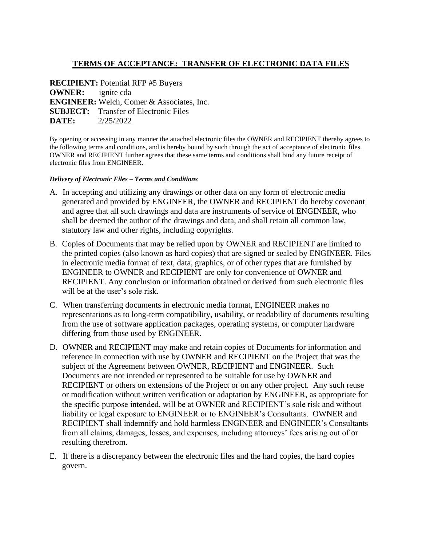## **TERMS OF ACCEPTANCE: TRANSFER OF ELECTRONIC DATA FILES**

**RECIPIENT:** Potential RFP #5 Buyers **OWNER:** ignite cda **ENGINEER:** Welch, Comer & Associates, Inc. **SUBJECT:** Transfer of Electronic Files **DATE:** 2/25/2022

By opening or accessing in any manner the attached electronic files the OWNER and RECIPIENT thereby agrees to the following terms and conditions, and is hereby bound by such through the act of acceptance of electronic files. OWNER and RECIPIENT further agrees that these same terms and conditions shall bind any future receipt of electronic files from ENGINEER.

## *Delivery of Electronic Files – Terms and Conditions*

- A. In accepting and utilizing any drawings or other data on any form of electronic media generated and provided by ENGINEER, the OWNER and RECIPIENT do hereby covenant and agree that all such drawings and data are instruments of service of ENGINEER, who shall be deemed the author of the drawings and data, and shall retain all common law, statutory law and other rights, including copyrights.
- B. Copies of Documents that may be relied upon by OWNER and RECIPIENT are limited to the printed copies (also known as hard copies) that are signed or sealed by ENGINEER. Files in electronic media format of text, data, graphics, or of other types that are furnished by ENGINEER to OWNER and RECIPIENT are only for convenience of OWNER and RECIPIENT. Any conclusion or information obtained or derived from such electronic files will be at the user's sole risk.
- C. When transferring documents in electronic media format, ENGINEER makes no representations as to long-term compatibility, usability, or readability of documents resulting from the use of software application packages, operating systems, or computer hardware differing from those used by ENGINEER.
- D. OWNER and RECIPIENT may make and retain copies of Documents for information and reference in connection with use by OWNER and RECIPIENT on the Project that was the subject of the Agreement between OWNER, RECIPIENT and ENGINEER. Such Documents are not intended or represented to be suitable for use by OWNER and RECIPIENT or others on extensions of the Project or on any other project. Any such reuse or modification without written verification or adaptation by ENGINEER, as appropriate for the specific purpose intended, will be at OWNER and RECIPIENT's sole risk and without liability or legal exposure to ENGINEER or to ENGINEER's Consultants. OWNER and RECIPIENT shall indemnify and hold harmless ENGINEER and ENGINEER's Consultants from all claims, damages, losses, and expenses, including attorneys' fees arising out of or resulting therefrom.
- E. If there is a discrepancy between the electronic files and the hard copies, the hard copies govern.